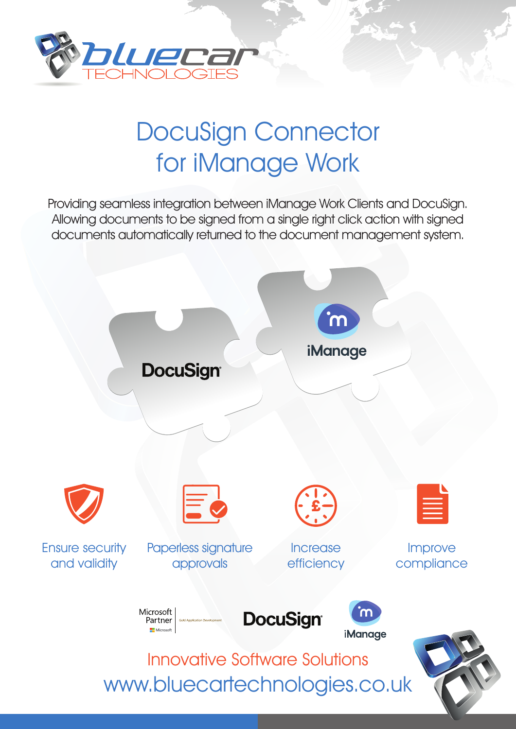

# DocuSign Connector for iManage Work

Providing seamless integration between iManage Work Clients and DocuSign. Allowing documents to be signed from a single right click action with signed documents automatically returned to the document management system.